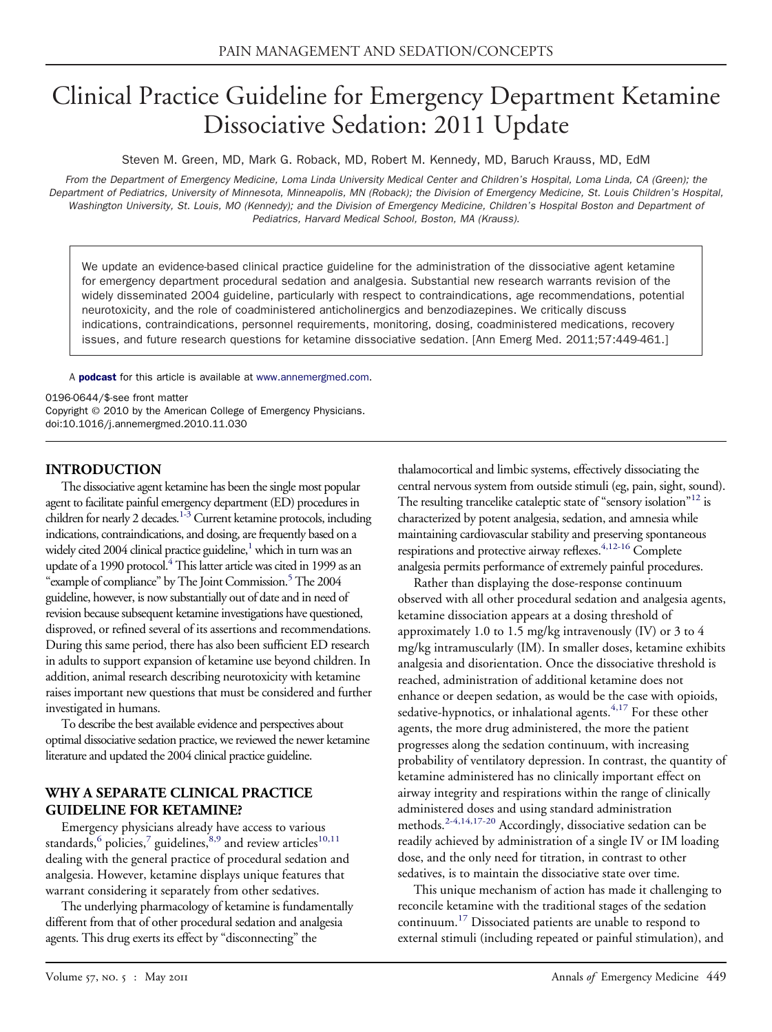# Clinical Practice Guideline for Emergency Department Ketamine Dissociative Sedation: 2011 Update

Steven M. Green, MD, Mark G. Roback, MD, Robert M. Kennedy, MD, Baruch Krauss, MD, EdM

*From the Department of Emergency Medicine, Loma Linda University Medical Center and Children's Hospital, Loma Linda, CA (Green); the Department of Pediatrics, University of Minnesota, Minneapolis, MN (Roback); the Division of Emergency Medicine, St. Louis Children's Hospital, Washington University, St. Louis, MO (Kennedy); and the Division of Emergency Medicine, Children's Hospital Boston and Department of Pediatrics, Harvard Medical School, Boston, MA (Krauss).*

We update an evidence-based clinical practice guideline for the administration of the dissociative agent ketamine for emergency department procedural sedation and analgesia. Substantial new research warrants revision of the widely disseminated 2004 guideline, particularly with respect to contraindications, age recommendations, potential neurotoxicity, and the role of coadministered anticholinergics and benzodiazepines. We critically discuss indications, contraindications, personnel requirements, monitoring, dosing, coadministered medications, recovery issues, and future research questions for ketamine dissociative sedation. [Ann Emerg Med. 2011;57:449-461.]

A **[podcast](http://annemergmed.com/content/podcast)** for this article is available at [www.annemergmed.com.](http://www.annemergmed.com)

0196-0644/\$-see front matter Copyright © 2010 by the American College of Emergency Physicians. doi:10.1016/j.annemergmed.2010.11.030

# **INTRODUCTION**

The dissociative agent ketamine has been the single most popular agent to facilitate painful emergency department (ED) procedures in children for nearly 2 decades.<sup>1-3</sup> Current ketamine protocols, including indications, contraindications, and dosing, are frequently based on a widely cited 2004 clinical practice guideline, $^{1}$  which in turn was an update of a 1990 protocol[.4](#page-10-0) This latter article was cited in 1999 as an "example of compliance" by The Joint Commission.<sup>5</sup> The 2004 guideline, however, is now substantially out of date and in need of revision because subsequent ketamine investigations have questioned, disproved, or refined several of its assertions and recommendations. During this same period, there has also been sufficient ED research in adults to support expansion of ketamine use beyond children. In addition, animal research describing neurotoxicity with ketamine raises important new questions that must be considered and further investigated in humans.

To describe the best available evidence and perspectives about optimal dissociative sedation practice, we reviewed the newer ketamine literature and updated the 2004 clinical practice guideline.

# **WHY A SEPARATE CLINICAL PRACTICE GUIDELINE FOR KETAMINE?**

Emergency physicians already have access to various standards, $6$  policies, $7$  guidelines, $8,9$  and review articles<sup>[10,11](#page-10-5)</sup> dealing with the general practice of procedural sedation and analgesia. However, ketamine displays unique features that warrant considering it separately from other sedatives.

The underlying pharmacology of ketamine is fundamentally different from that of other procedural sedation and analgesia agents. This drug exerts its effect by "disconnecting" the

thalamocortical and limbic systems, effectively dissociating the central nervous system from outside stimuli (eg, pain, sight, sound). The resulting trancelike cataleptic state of "sensory isolation"<sup>12</sup> is characterized by potent analgesia, sedation, and amnesia while maintaining cardiovascular stability and preserving spontaneous respirations and protective airway reflexes[.4,12-16](#page-10-0) Complete analgesia permits performance of extremely painful procedures.

Rather than displaying the dose-response continuum observed with all other procedural sedation and analgesia agents, ketamine dissociation appears at a dosing threshold of approximately 1.0 to 1.5 mg/kg intravenously (IV) or 3 to 4 mg/kg intramuscularly (IM). In smaller doses, ketamine exhibits analgesia and disorientation. Once the dissociative threshold is reached, administration of additional ketamine does not enhance or deepen sedation, as would be the case with opioids, sedative-hypnotics, or inhalational agents. $4,17$  For these other agents, the more drug administered, the more the patient progresses along the sedation continuum, with increasing probability of ventilatory depression. In contrast, the quantity of ketamine administered has no clinically important effect on airway integrity and respirations within the range of clinically administered doses and using standard administration methods.[2-4,14,17-20](#page-10-7) Accordingly, dissociative sedation can be readily achieved by administration of a single IV or IM loading dose, and the only need for titration, in contrast to other sedatives, is to maintain the dissociative state over time.

This unique mechanism of action has made it challenging to reconcile ketamine with the traditional stages of the sedation continuum.[17](#page-10-8) Dissociated patients are unable to respond to external stimuli (including repeated or painful stimulation), and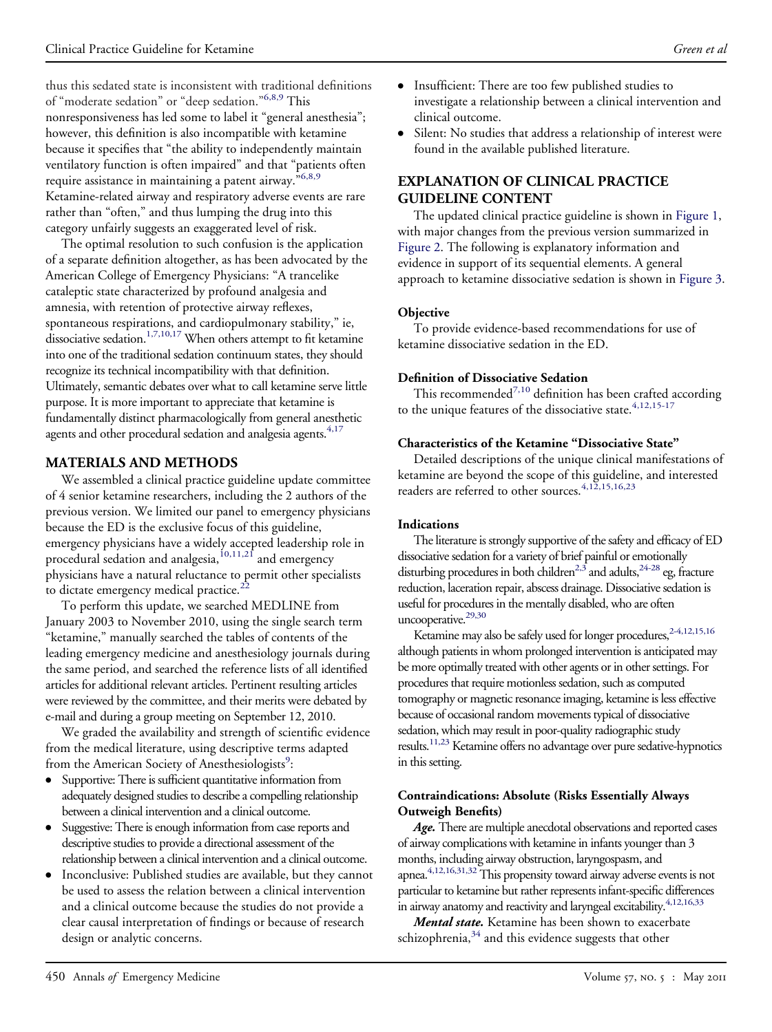thus this sedated state is inconsistent with traditional definitions of "moderate sedation" or "deep sedation."[6,8,9](#page-10-2) This nonresponsiveness has led some to label it "general anesthesia"; however, this definition is also incompatible with ketamine because it specifies that "the ability to independently maintain ventilatory function is often impaired" and that "patients often require assistance in maintaining a patent airway."[6,8,9](#page-10-2) Ketamine-related airway and respiratory adverse events are rare rather than "often," and thus lumping the drug into this category unfairly suggests an exaggerated level of risk.

The optimal resolution to such confusion is the application of a separate definition altogether, as has been advocated by the American College of Emergency Physicians: "A trancelike cataleptic state characterized by profound analgesia and amnesia, with retention of protective airway reflexes, spontaneous respirations, and cardiopulmonary stability," ie, dissociative sedation.<sup>1,7,10,17</sup> When others attempt to fit ketamine into one of the traditional sedation continuum states, they should recognize its technical incompatibility with that definition. Ultimately, semantic debates over what to call ketamine serve little purpose. It is more important to appreciate that ketamine is fundamentally distinct pharmacologically from general anesthetic agents and other procedural sedation and analgesia agents.<sup>4,17</sup>

# **MATERIALS AND METHODS**

We assembled a clinical practice guideline update committee of 4 senior ketamine researchers, including the 2 authors of the previous version. We limited our panel to emergency physicians because the ED is the exclusive focus of this guideline, emergency physicians have a widely accepted leadership role in procedural sedation and analgesia,<sup>[10,11,21](#page-10-5)</sup> and emergency physicians have a natural reluctance to permit other specialists to dictate emergency medical practice. $^{22}$  $^{22}$  $^{22}$ 

To perform this update, we searched MEDLINE from January 2003 to November 2010, using the single search term "ketamine," manually searched the tables of contents of the leading emergency medicine and anesthesiology journals during the same period, and searched the reference lists of all identified articles for additional relevant articles. Pertinent resulting articles were reviewed by the committee, and their merits were debated by e-mail and during a group meeting on September 12, 2010.

We graded the availability and strength of scientific evidence from the medical literature, using descriptive terms adapted from the American Society of Anesthesiologists<sup>[9](#page-10-10)</sup>:

- Supportive: There is sufficient quantitative information from adequately designed studies to describe a compelling relationship between a clinical intervention and a clinical outcome.
- Suggestive: There is enough information from case reports and descriptive studies to provide a directional assessment of the relationship between a clinical intervention and a clinical outcome.
- Inconclusive: Published studies are available, but they cannot be used to assess the relation between a clinical intervention and a clinical outcome because the studies do not provide a clear causal interpretation of findings or because of research design or analytic concerns.
- Insufficient: There are too few published studies to investigate a relationship between a clinical intervention and clinical outcome.
- Silent: No studies that address a relationship of interest were found in the available published literature.

# **EXPLANATION OF CLINICAL PRACTICE GUIDELINE CONTENT**

The updated clinical practice guideline is shown in [Figure 1,](#page-3-0) with major changes from the previous version summarized in [Figure 2.](#page-5-0) The following is explanatory information and evidence in support of its sequential elements. A general approach to ketamine dissociative sedation is shown in [Figure 3.](#page-6-0)

## **Objective**

To provide evidence-based recommendations for use of ketamine dissociative sedation in the ED.

## **Definition of Dissociative Sedation**

This recommended $^{7,10}$  $^{7,10}$  $^{7,10}$  definition has been crafted according to the unique features of the dissociative state.<sup>[4,12,15-17](#page-10-0)</sup>

## **Characteristics of the Ketamine "Dissociative State"**

Detailed descriptions of the unique clinical manifestations of ketamine are beyond the scope of this guideline, and interested readers are referred to other sources.<sup>[4,12,15,16,23](#page-10-0)</sup>

# **Indications**

The literature is strongly supportive of the safety and efficacy of ED dissociative sedation for a variety of brief painful or emotionally disturbing procedures in both children<sup>2,3</sup> and adults,<sup>24-28</sup> eg, fracture reduction, laceration repair, abscess drainage. Dissociative sedation is useful for procedures in the mentally disabled, who are often uncooperative.<sup>29,30</sup>

Ketamine may also be safely used for longer procedures,<sup>2-4,12,15,16</sup> although patients in whom prolonged intervention is anticipated may be more optimally treated with other agents or in other settings. For procedures that require motionless sedation, such as computed tomography or magnetic resonance imaging, ketamine is less effective because of occasional random movements typical of dissociative sedation, which may result in poor-quality radiographic study results.<sup>11,23</sup> Ketamine offers no advantage over pure sedative-hypnotics in this setting.

## **Contraindications: Absolute (Risks Essentially Always Outweigh Benefits)**

*Age.* There are multiple anecdotal observations and reported cases of airway complications with ketamine in infants younger than 3 months, including airway obstruction, laryngospasm, and apnea[.4,12,16,31,32](#page-10-0) This propensity toward airway adverse events is not particular to ketamine but rather represents infant-specific differences in airway anatomy and reactivity and laryngeal excitability.<sup>4,12,16,33</sup>

*Mental state.* Ketamine has been shown to exacerbate schizophrenia, $3<sup>4</sup>$  and this evidence suggests that other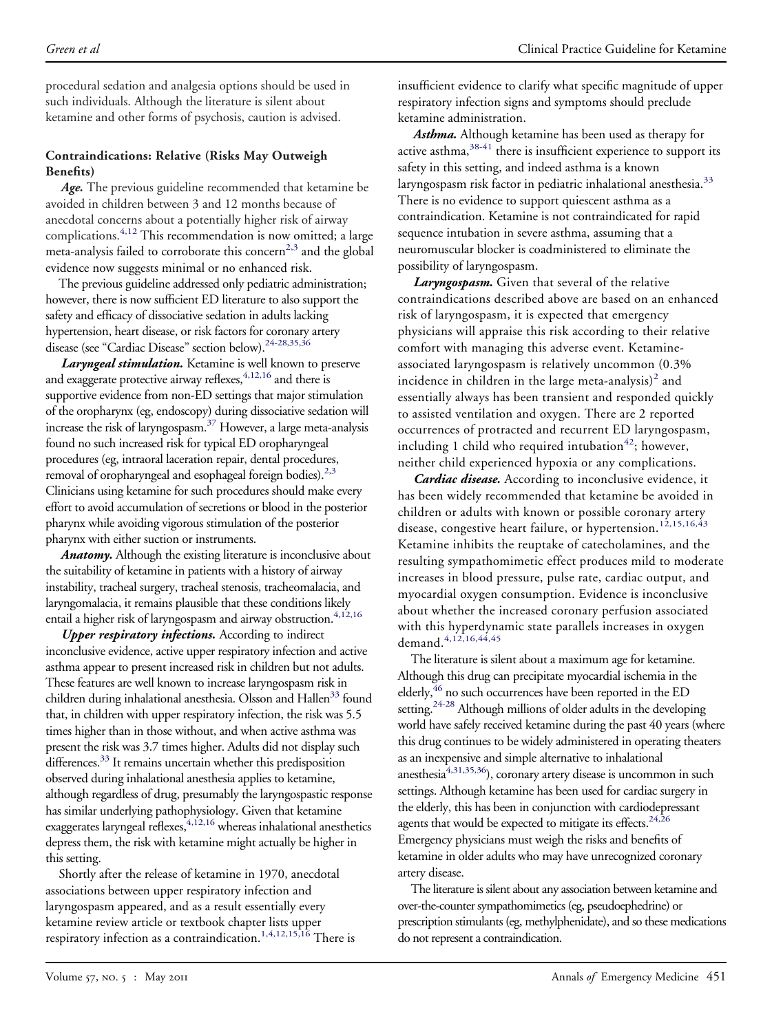procedural sedation and analgesia options should be used in such individuals. Although the literature is silent about ketamine and other forms of psychosis, caution is advised.

# **Contraindications: Relative (Risks May Outweigh Benefits)**

*Age.* The previous guideline recommended that ketamine be avoided in children between 3 and 12 months because of anecdotal concerns about a potentially higher risk of airway complications.<sup>[4,12](#page-10-0)</sup> This recommendation is now omitted; a large meta-analysis failed to corroborate this concern<sup>[2,3](#page-10-7)</sup> and the global evidence now suggests minimal or no enhanced risk.

The previous guideline addressed only pediatric administration; however, there is now sufficient ED literature to also support the safety and efficacy of dissociative sedation in adults lacking hypertension, heart disease, or risk factors for coronary artery disease (see "Cardiac Disease" section below)[.24-28,35,36](#page-10-11)

*Laryngeal stimulation.* Ketamine is well known to preserve and exaggerate protective airway reflexes,  $4,12,16$  and there is supportive evidence from non-ED settings that major stimulation of the oropharynx (eg, endoscopy) during dissociative sedation will increase the risk of laryngospasm. $37$  However, a large meta-analysis found no such increased risk for typical ED oropharyngeal procedures (eg, intraoral laceration repair, dental procedures, removal of oropharyngeal and esophageal foreign bodies).<sup>2,3</sup> Clinicians using ketamine for such procedures should make every effort to avoid accumulation of secretions or blood in the posterior pharynx while avoiding vigorous stimulation of the posterior pharynx with either suction or instruments.

*Anatomy.* Although the existing literature is inconclusive about the suitability of ketamine in patients with a history of airway instability, tracheal surgery, tracheal stenosis, tracheomalacia, and laryngomalacia, it remains plausible that these conditions likely entail a higher risk of laryngospasm and airway obstruction.<sup>4,12,16</sup>

*Upper respiratory infections.* According to indirect inconclusive evidence, active upper respiratory infection and active asthma appear to present increased risk in children but not adults. These features are well known to increase laryngospasm risk in children during inhalational anesthesia. Olsson and Hallen<sup>33</sup> found that, in children with upper respiratory infection, the risk was 5.5 times higher than in those without, and when active asthma was present the risk was 3.7 times higher. Adults did not display such differences.<sup>33</sup> It remains uncertain whether this predisposition observed during inhalational anesthesia applies to ketamine, although regardless of drug, presumably the laryngospastic response has similar underlying pathophysiology. Given that ketamine exaggerates laryngeal reflexes,  $4,12,16$  whereas inhalational anesthetics depress them, the risk with ketamine might actually be higher in this setting.

Shortly after the release of ketamine in 1970, anecdotal associations between upper respiratory infection and laryngospasm appeared, and as a result essentially every ketamine review article or textbook chapter lists upper respiratory infection as a contraindication.<sup>[1,4,12,15,16](#page-9-0)</sup> There is insufficient evidence to clarify what specific magnitude of upper respiratory infection signs and symptoms should preclude ketamine administration.

*Asthma.* Although ketamine has been used as therapy for active asthma, $38-41$  there is insufficient experience to support its safety in this setting, and indeed asthma is a known laryngospasm risk factor in pediatric inhalational anesthesia.<sup>[33](#page-10-16)</sup> There is no evidence to support quiescent asthma as a contraindication. Ketamine is not contraindicated for rapid sequence intubation in severe asthma, assuming that a neuromuscular blocker is coadministered to eliminate the possibility of laryngospasm.

*Laryngospasm.* Given that several of the relative contraindications described above are based on an enhanced risk of laryngospasm, it is expected that emergency physicians will appraise this risk according to their relative comfort with managing this adverse event. Ketamineassociated laryngospasm is relatively uncommon (0.3% incidence in children in the large meta-analysis)<sup>[2](#page-10-7)</sup> and essentially always has been transient and responded quickly to assisted ventilation and oxygen. There are 2 reported occurrences of protracted and recurrent ED laryngospasm, including 1 child who required intubation<sup>42</sup>; however, neither child experienced hypoxia or any complications.

*Cardiac disease.* According to inconclusive evidence, it has been widely recommended that ketamine be avoided in children or adults with known or possible coronary artery disease, congestive heart failure, or hypertension.<sup>[12,15,16,43](#page-10-6)</sup> Ketamine inhibits the reuptake of catecholamines, and the resulting sympathomimetic effect produces mild to moderate increases in blood pressure, pulse rate, cardiac output, and myocardial oxygen consumption. Evidence is inconclusive about whether the increased coronary perfusion associated with this hyperdynamic state parallels increases in oxygen demand.<sup>[4,12,16,44,45](#page-10-0)</sup>

The literature is silent about a maximum age for ketamine. Although this drug can precipitate myocardial ischemia in the elderly[,46](#page-11-0) no such occurrences have been reported in the ED setting.<sup>24-28</sup> Although millions of older adults in the developing world have safely received ketamine during the past 40 years (where this drug continues to be widely administered in operating theaters as an inexpensive and simple alternative to inhalational anesthesia<sup>4,31,35,36</sup>), coronary artery disease is uncommon in such settings. Although ketamine has been used for cardiac surgery in the elderly, this has been in conjunction with cardiodepressant agents that would be expected to mitigate its effects.<sup>24,26</sup> Emergency physicians must weigh the risks and benefits of ketamine in older adults who may have unrecognized coronary artery disease.

The literature is silent about any association between ketamine and over-the-counter sympathomimetics (eg, pseudoephedrine) or prescription stimulants (eg, methylphenidate), and so these medications do not represent a contraindication.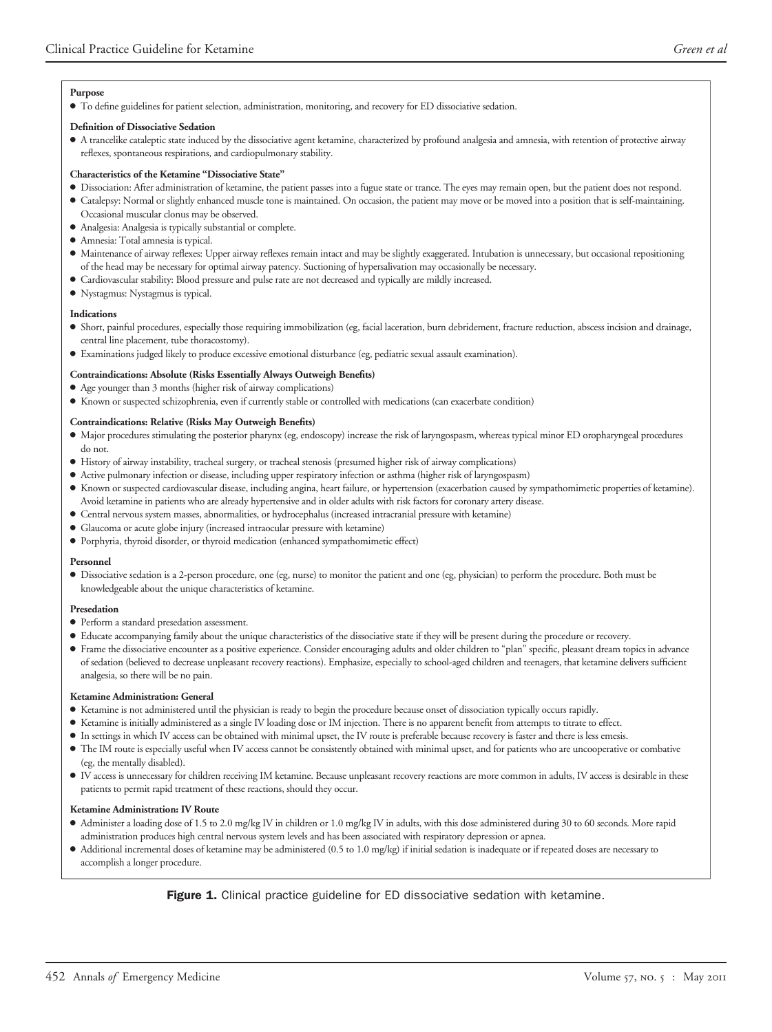## **Purpose**

● To define guidelines for patient selection, administration, monitoring, and recovery for ED dissociative sedation.

## **Definition of Dissociative Sedation**

● A trancelike cataleptic state induced by the dissociative agent ketamine, characterized by profound analgesia and amnesia, with retention of protective airway reflexes, spontaneous respirations, and cardiopulmonary stability.

## **Characteristics of the Ketamine "Dissociative State"**

- Dissociation: After administration of ketamine, the patient passes into a fugue state or trance. The eyes may remain open, but the patient does not respond.
- Catalepsy: Normal or slightly enhanced muscle tone is maintained. On occasion, the patient may move or be moved into a position that is self-maintaining. Occasional muscular clonus may be observed.
- Analgesia: Analgesia is typically substantial or complete.
- Amnesia: Total amnesia is typical.
- Maintenance of airway reflexes: Upper airway reflexes remain intact and may be slightly exaggerated. Intubation is unnecessary, but occasional repositioning of the head may be necessary for optimal airway patency. Suctioning of hypersalivation may occasionally be necessary.
- Cardiovascular stability: Blood pressure and pulse rate are not decreased and typically are mildly increased.
- Nystagmus: Nystagmus is typical.

## **Indications**

- Short, painful procedures, especially those requiring immobilization (eg, facial laceration, burn debridement, fracture reduction, abscess incision and drainage, central line placement, tube thoracostomy).
- Examinations judged likely to produce excessive emotional disturbance (eg, pediatric sexual assault examination).

## **Contraindications: Absolute (Risks Essentially Always Outweigh Benefits)**

- Age younger than 3 months (higher risk of airway complications)
- Known or suspected schizophrenia, even if currently stable or controlled with medications (can exacerbate condition)

## **Contraindications: Relative (Risks May Outweigh Benefits)**

- Major procedures stimulating the posterior pharynx (eg, endoscopy) increase the risk of laryngospasm, whereas typical minor ED oropharyngeal procedures do not.
- History of airway instability, tracheal surgery, or tracheal stenosis (presumed higher risk of airway complications)
- Active pulmonary infection or disease, including upper respiratory infection or asthma (higher risk of laryngospasm)
- Known or suspected cardiovascular disease, including angina, heart failure, or hypertension (exacerbation caused by sympathomimetic properties of ketamine). Avoid ketamine in patients who are already hypertensive and in older adults with risk factors for coronary artery disease.
- Central nervous system masses, abnormalities, or hydrocephalus (increased intracranial pressure with ketamine)
- Glaucoma or acute globe injury (increased intraocular pressure with ketamine)
- Porphyria, thyroid disorder, or thyroid medication (enhanced sympathomimetic effect)

## **Personnel**

● Dissociative sedation is a 2-person procedure, one (eg, nurse) to monitor the patient and one (eg, physician) to perform the procedure. Both must be knowledgeable about the unique characteristics of ketamine.

## **Presedation**

- Perform a standard presedation assessment.
- Educate accompanying family about the unique characteristics of the dissociative state if they will be present during the procedure or recovery.
- Frame the dissociative encounter as a positive experience. Consider encouraging adults and older children to "plan" specific, pleasant dream topics in advance of sedation (believed to decrease unpleasant recovery reactions). Emphasize, especially to school-aged children and teenagers, that ketamine delivers sufficient analgesia, so there will be no pain.

## **Ketamine Administration: General**

- Ketamine is not administered until the physician is ready to begin the procedure because onset of dissociation typically occurs rapidly.
- Ketamine is initially administered as a single IV loading dose or IM injection. There is no apparent benefit from attempts to titrate to effect.
- In settings in which IV access can be obtained with minimal upset, the IV route is preferable because recovery is faster and there is less emesis.
- The IM route is especially useful when IV access cannot be consistently obtained with minimal upset, and for patients who are uncooperative or combative (eg, the mentally disabled).
- IV access is unnecessary for children receiving IM ketamine. Because unpleasant recovery reactions are more common in adults, IV access is desirable in these patients to permit rapid treatment of these reactions, should they occur.

## **Ketamine Administration: IV Route**

- Administer a loading dose of 1.5 to 2.0 mg/kg IV in children or 1.0 mg/kg IV in adults, with this dose administered during 30 to 60 seconds. More rapid administration produces high central nervous system levels and has been associated with respiratory depression or apnea.
- Additional incremental doses of ketamine may be administered (0.5 to 1.0 mg/kg) if initial sedation is inadequate or if repeated doses are necessary to accomplish a longer procedure.

<span id="page-3-0"></span>Figure 1. Clinical practice guideline for ED dissociative sedation with ketamine.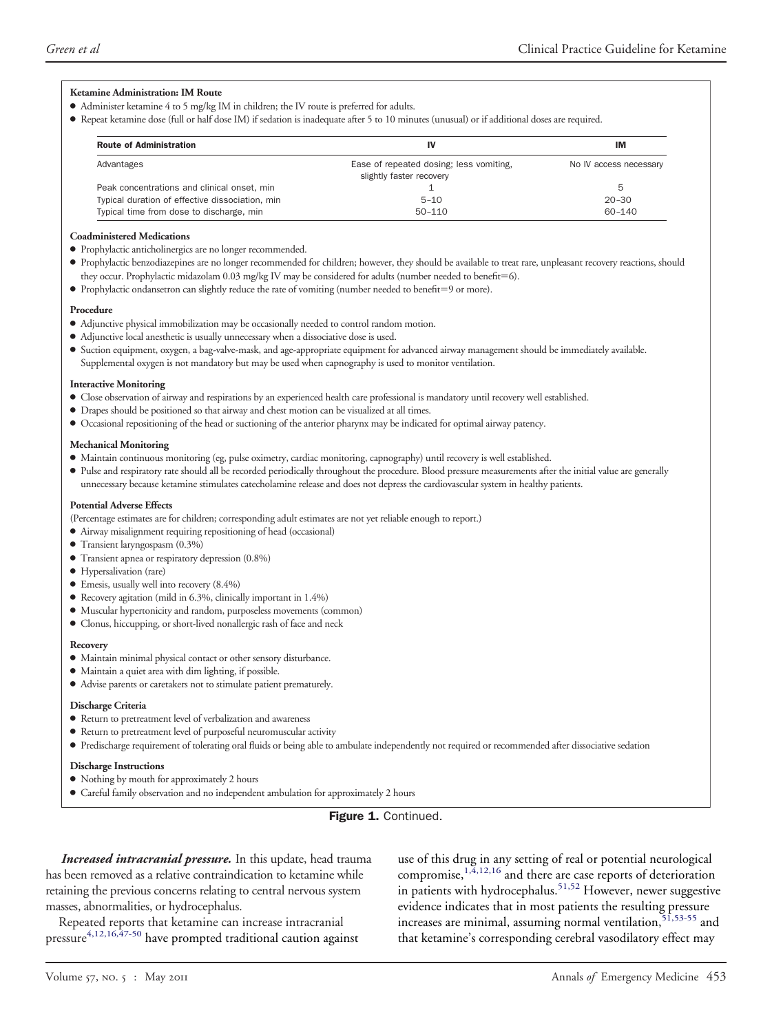## **Ketamine Administration: IM Route**

- Administer ketamine 4 to 5 mg/kg IM in children; the IV route is preferred for adults.
- Repeat ketamine dose (full or half dose IM) if sedation is inadequate after 5 to 10 minutes (unusual) or if additional doses are required.

| <b>Route of Administration</b>                  | IV                                                                  | <b>IM</b>              |
|-------------------------------------------------|---------------------------------------------------------------------|------------------------|
| Advantages                                      | Ease of repeated dosing; less vomiting,<br>slightly faster recovery | No IV access necessary |
| Peak concentrations and clinical onset, min     |                                                                     | 5                      |
| Typical duration of effective dissociation, min | $5 - 10$                                                            | $20 - 30$              |
| Typical time from dose to discharge, min        | $50 - 110$                                                          | 60-140                 |

#### **Coadministered Medications**

- Prophylactic anticholinergics are no longer recommended.
- Prophylactic benzodiazepines are no longer recommended for children; however, they should be available to treat rare, unpleasant recovery reactions, should they occur. Prophylactic midazolam 0.03 mg/kg IV may be considered for adults (number needed to benefit=6).
- Prophylactic ondansetron can slightly reduce the rate of vomiting (number needed to benefit 9 or more).

### **Procedure**

- Adjunctive physical immobilization may be occasionally needed to control random motion.
- Adjunctive local anesthetic is usually unnecessary when a dissociative dose is used.
- Suction equipment, oxygen, a bag-valve-mask, and age-appropriate equipment for advanced airway management should be immediately available. Supplemental oxygen is not mandatory but may be used when capnography is used to monitor ventilation.

#### **Interactive Monitoring**

- Close observation of airway and respirations by an experienced health care professional is mandatory until recovery well established.
- Drapes should be positioned so that airway and chest motion can be visualized at all times.
- Occasional repositioning of the head or suctioning of the anterior pharynx may be indicated for optimal airway patency.

#### **Mechanical Monitoring**

- Maintain continuous monitoring (eg, pulse oximetry, cardiac monitoring, capnography) until recovery is well established.
- Pulse and respiratory rate should all be recorded periodically throughout the procedure. Blood pressure measurements after the initial value are generally unnecessary because ketamine stimulates catecholamine release and does not depress the cardiovascular system in healthy patients.

## **Potential Adverse Effects**

(Percentage estimates are for children; corresponding adult estimates are not yet reliable enough to report.)

- Airway misalignment requiring repositioning of head (occasional)
- Transient laryngospasm (0.3%)
- Transient apnea or respiratory depression (0.8%)
- Hypersalivation (rare)
- Emesis, usually well into recovery (8.4%)
- Recovery agitation (mild in 6.3%, clinically important in 1.4%)
- Muscular hypertonicity and random, purposeless movements (common)
- Clonus, hiccupping, or short-lived nonallergic rash of face and neck

#### **Recovery**

- Maintain minimal physical contact or other sensory disturbance.
- Maintain a quiet area with dim lighting, if possible.
- Advise parents or caretakers not to stimulate patient prematurely.

## **Discharge Criteria**

- Return to pretreatment level of verbalization and awareness
- Return to pretreatment level of purposeful neuromuscular activity
- Predischarge requirement of tolerating oral fluids or being able to ambulate independently not required or recommended after dissociative sedation

## **Discharge Instructions**

- Nothing by mouth for approximately 2 hours
- Careful family observation and no independent ambulation for approximately 2 hours

## Figure 1. Continued.

*Increased intracranial pressure.* In this update, head trauma has been removed as a relative contraindication to ketamine while retaining the previous concerns relating to central nervous system masses, abnormalities, or hydrocephalus.

Repeated reports that ketamine can increase intracranial pressure<sup>[4,12,16,47-50](#page-10-0)</sup> have prompted traditional caution against

use of this drug in any setting of real or potential neurological compromise,[1,4,12,16](#page-9-0) and there are case reports of deterioration in patients with hydrocephalus.<sup>[51,52](#page-11-1)</sup> However, newer suggestive evidence indicates that in most patients the resulting pressure increases are minimal, assuming normal ventilation,  $51,53-55$  and that ketamine's corresponding cerebral vasodilatory effect may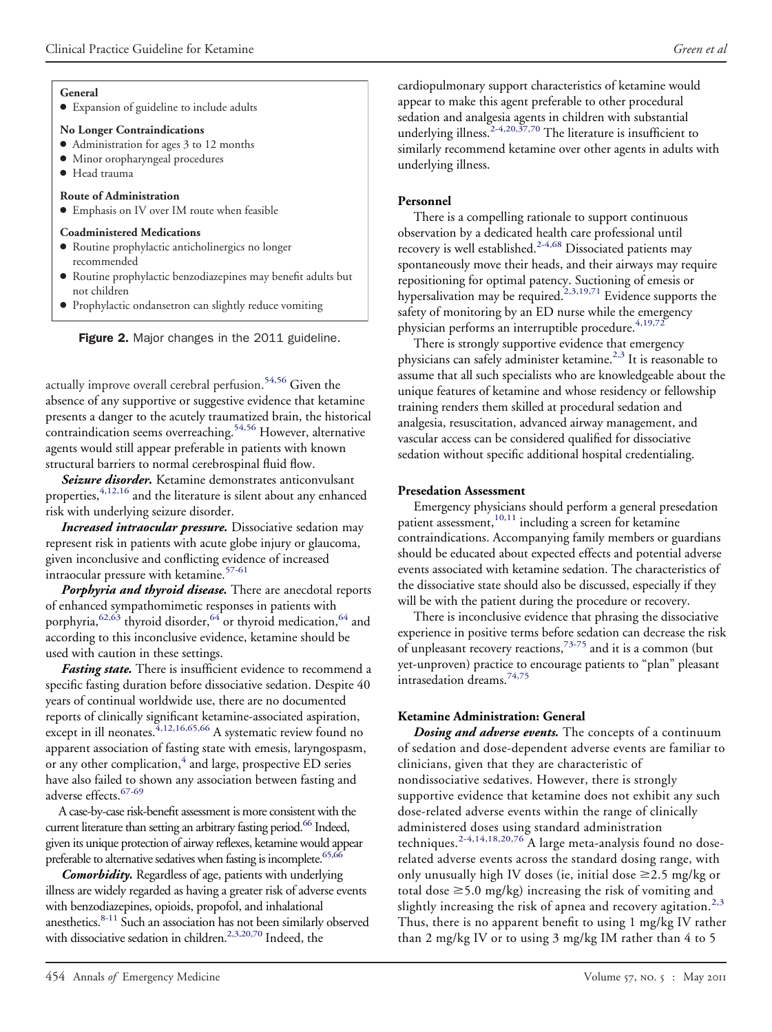## **General**

● Expansion of guideline to include adults

## **No Longer Contraindications**

- Administration for ages 3 to 12 months
- Minor oropharyngeal procedures
- Head trauma

## **Route of Administration**

● Emphasis on IV over IM route when feasible

## **Coadministered Medications**

- Routine prophylactic anticholinergics no longer recommended
- Routine prophylactic benzodiazepines may benefit adults but not children
- <span id="page-5-0"></span>● Prophylactic ondansetron can slightly reduce vomiting

Figure 2. Major changes in the 2011 guideline.

actually improve overall cerebral perfusion.<sup>[54,56](#page-11-2)</sup> Given the absence of any supportive or suggestive evidence that ketamine presents a danger to the acutely traumatized brain, the historical contraindication seems overreaching.<sup>[54,56](#page-11-2)</sup> However, alternative agents would still appear preferable in patients with known structural barriers to normal cerebrospinal fluid flow.

*Seizure disorder.* Ketamine demonstrates anticonvulsant properties,  $4,12,16$  and the literature is silent about any enhanced risk with underlying seizure disorder.

*Increased intraocular pressure.* Dissociative sedation may represent risk in patients with acute globe injury or glaucoma, given inconclusive and conflicting evidence of increased intraocular pressure with ketamine.[57-61](#page-11-3)

*Porphyria and thyroid disease.* There are anecdotal reports of enhanced sympathomimetic responses in patients with porphyria,  $^{62,63}$  $^{62,63}$  $^{62,63}$  thyroid disorder,  $^{64}$  $^{64}$  $^{64}$  or thyroid medication,  $^{64}$  and according to this inconclusive evidence, ketamine should be used with caution in these settings.

*Fasting state.* There is insufficient evidence to recommend a specific fasting duration before dissociative sedation. Despite 40 years of continual worldwide use, there are no documented reports of clinically significant ketamine-associated aspiration, except in ill neonates.  $4,12,16,65,66$  A systematic review found no apparent association of fasting state with emesis, laryngospasm, or any other complication,<sup>[4](#page-10-0)</sup> and large, prospective ED series have also failed to shown any association between fasting and adverse effects.<sup>67-69</sup>

A case-by-case risk-benefit assessment is more consistent with the current literature than setting an arbitrary fasting period.<sup>66</sup> Indeed, given its unique protection of airway reflexes, ketamine would appear preferable to alternative sedatives when fasting is incomplete.<sup>65,66</sup>

*Comorbidity.* Regardless of age, patients with underlying illness are widely regarded as having a greater risk of adverse events with benzodiazepines, opioids, propofol, and inhalational anesthetics[.8-11](#page-10-4) Such an association has not been similarly observed with dissociative sedation in children.<sup>2,3,20,70</sup> Indeed, the

cardiopulmonary support characteristics of ketamine would appear to make this agent preferable to other procedural sedation and analgesia agents in children with substantial underlying illness.<sup>[2-4,20,37,70](#page-10-7)</sup> The literature is insufficient to similarly recommend ketamine over other agents in adults with underlying illness.

# **Personnel**

There is a compelling rationale to support continuous observation by a dedicated health care professional until recovery is well established.<sup>[2-4,68](#page-10-7)</sup> Dissociated patients may spontaneously move their heads, and their airways may require repositioning for optimal patency. Suctioning of emesis or hypersalivation may be required.<sup>[2,3,19,71](#page-10-7)</sup> Evidence supports the safety of monitoring by an ED nurse while the emergency physician performs an interruptible procedure.<sup>[4,19,72](#page-10-0)</sup>

There is strongly supportive evidence that emergency physicians can safely administer ketamine.<sup>[2,3](#page-10-7)</sup> It is reasonable to assume that all such specialists who are knowledgeable about the unique features of ketamine and whose residency or fellowship training renders them skilled at procedural sedation and analgesia, resuscitation, advanced airway management, and vascular access can be considered qualified for dissociative sedation without specific additional hospital credentialing.

## **Presedation Assessment**

Emergency physicians should perform a general presedation patient assessment, $10,11$  including a screen for ketamine contraindications. Accompanying family members or guardians should be educated about expected effects and potential adverse events associated with ketamine sedation. The characteristics of the dissociative state should also be discussed, especially if they will be with the patient during the procedure or recovery.

There is inconclusive evidence that phrasing the dissociative experience in positive terms before sedation can decrease the risk of unpleasant recovery reactions,  $73-75$  and it is a common (but yet-unproven) practice to encourage patients to "plan" pleasant intrasedation dreams[.74,75](#page-11-10)

# **Ketamine Administration: General**

*Dosing and adverse events.* The concepts of a continuum of sedation and dose-dependent adverse events are familiar to clinicians, given that they are characteristic of nondissociative sedatives. However, there is strongly supportive evidence that ketamine does not exhibit any such dose-related adverse events within the range of clinically administered doses using standard administration techniques.<sup>[2-4,14,18,20,76](#page-10-7)</sup> A large meta-analysis found no doserelated adverse events across the standard dosing range, with only unusually high IV doses (ie, initial dose  $\geq$  2.5 mg/kg or total dose  $\geq$  5.0 mg/kg) increasing the risk of vomiting and slightly increasing the risk of apnea and recovery agitation.<sup>[2,3](#page-10-7)</sup> Thus, there is no apparent benefit to using 1 mg/kg IV rather than 2 mg/kg IV or to using 3 mg/kg IM rather than 4 to 5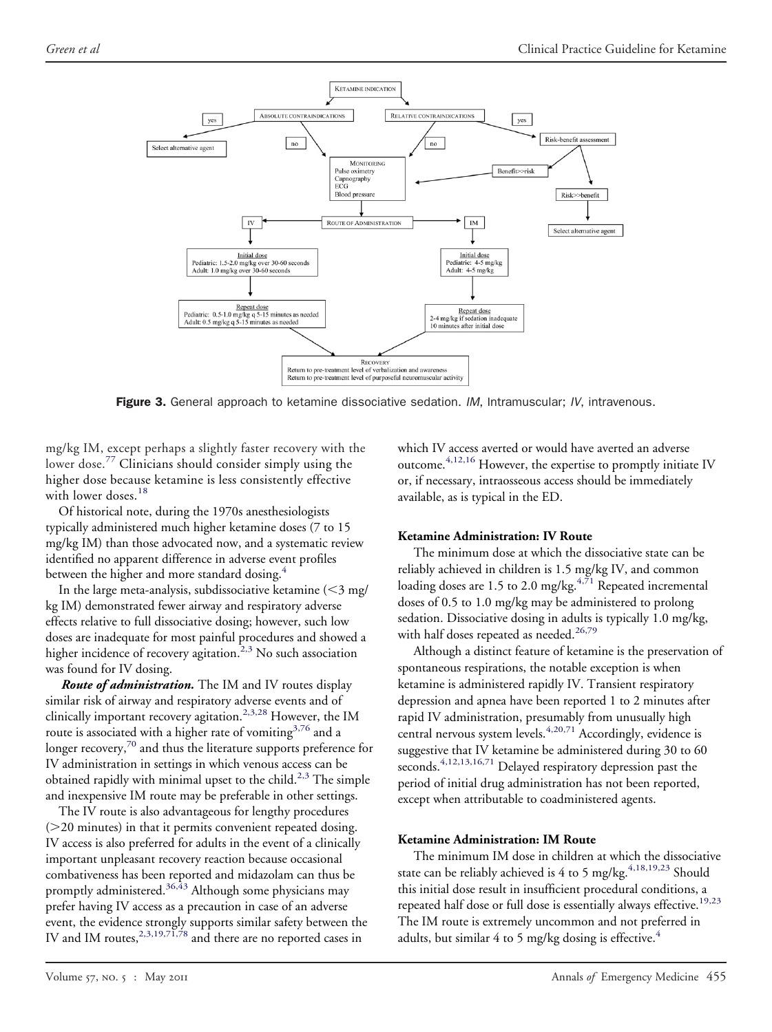

<span id="page-6-0"></span>Figure 3. General approach to ketamine dissociative sedation. *IM*, Intramuscular; *IV*, intravenous.

mg/kg IM, except perhaps a slightly faster recovery with the lower dose.[77](#page-11-11) Clinicians should consider simply using the higher dose because ketamine is less consistently effective with lower doses.<sup>[18](#page-10-19)</sup>

Of historical note, during the 1970s anesthesiologists typically administered much higher ketamine doses (7 to 15 mg/kg IM) than those advocated now, and a systematic review identified no apparent difference in adverse event profiles between the higher and more standard dosing.<sup>[4](#page-10-0)</sup>

In the large meta-analysis, subdissociative ketamine  $(<$ 3 mg/ kg IM) demonstrated fewer airway and respiratory adverse effects relative to full dissociative dosing; however, such low doses are inadequate for most painful procedures and showed a higher incidence of recovery agitation.<sup>[2,3](#page-10-7)</sup> No such association was found for IV dosing.

*Route of administration.* The IM and IV routes display similar risk of airway and respiratory adverse events and of clinically important recovery agitation.<sup>[2,3,28](#page-10-7)</sup> However, the IM route is associated with a higher rate of vomiting<sup>[3,76](#page-10-20)</sup> and a longer recovery, $70$  and thus the literature supports preference for IV administration in settings in which venous access can be obtained rapidly with minimal upset to the child.<sup>[2,3](#page-10-7)</sup> The simple and inexpensive IM route may be preferable in other settings.

The IV route is also advantageous for lengthy procedures  $(>=$  20 minutes) in that it permits convenient repeated dosing. IV access is also preferred for adults in the event of a clinically important unpleasant recovery reaction because occasional combativeness has been reported and midazolam can thus be promptly administered.<sup>36, $\frac{3}{4}$ 3 Although some physicians may</sup> prefer having IV access as a precaution in case of an adverse event, the evidence strongly supports similar safety between the IV and IM routes,  $2,3,19,71,78$  and there are no reported cases in

which IV access averted or would have averted an adverse outcome.<sup>4,12,16</sup> However, the expertise to promptly initiate IV or, if necessary, intraosseous access should be immediately available, as is typical in the ED.

# **Ketamine Administration: IV Route**

The minimum dose at which the dissociative state can be reliably achieved in children is 1.5 mg/kg IV, and common loading doses are 1.5 to 2.0 mg/kg.<sup>[4,71](#page-10-0)</sup> Repeated incremental doses of 0.5 to 1.0 mg/kg may be administered to prolong sedation. Dissociative dosing in adults is typically 1.0 mg/kg, with half doses repeated as needed.<sup>[26,79](#page-10-22)</sup>

Although a distinct feature of ketamine is the preservation of spontaneous respirations, the notable exception is when ketamine is administered rapidly IV. Transient respiratory depression and apnea have been reported 1 to 2 minutes after rapid IV administration, presumably from unusually high central nervous system levels.  $4,20,71$  Accordingly, evidence is suggestive that IV ketamine be administered during 30 to 60 seconds.<sup>4,12,13,16,71</sup> Delayed respiratory depression past the period of initial drug administration has not been reported, except when attributable to coadministered agents.

# **Ketamine Administration: IM Route**

The minimum IM dose in children at which the dissociative state can be reliably achieved is 4 to 5 mg/kg.<sup>[4,18,19,23](#page-10-0)</sup> Should this initial dose result in insufficient procedural conditions, a repeated half dose or full dose is essentially always effective.<sup>[19,23](#page-10-23)</sup> The IM route is extremely uncommon and not preferred in adults, but similar [4](#page-10-0) to 5 mg/kg dosing is effective.<sup>4</sup>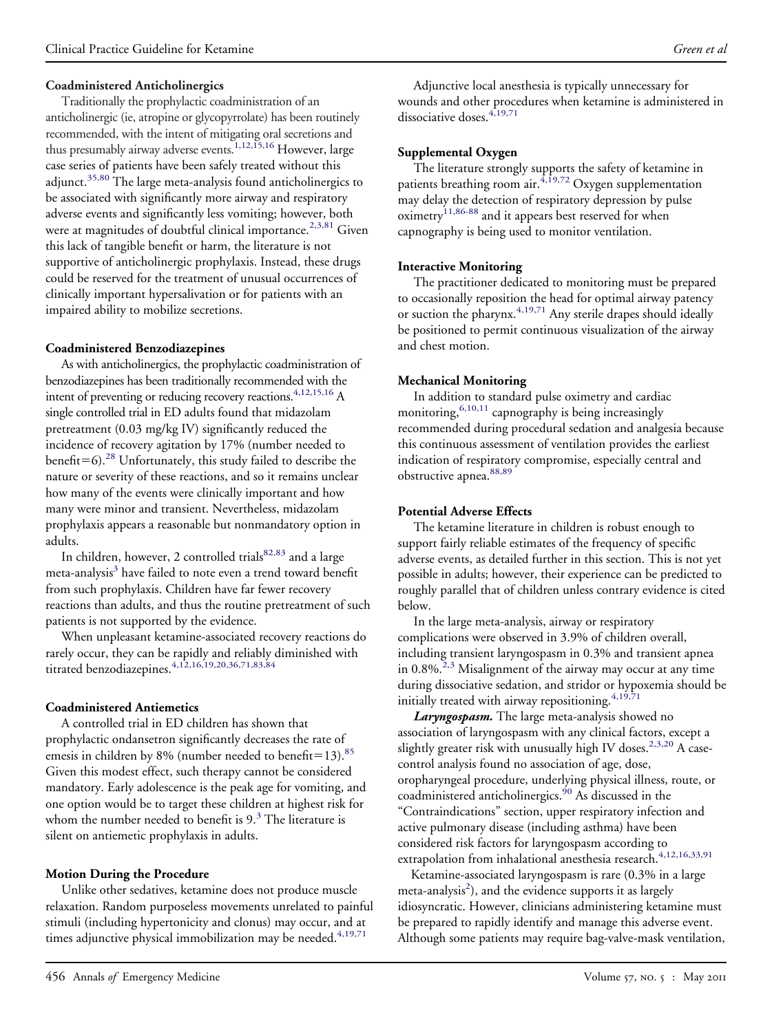## **Coadministered Anticholinergics**

Traditionally the prophylactic coadministration of an anticholinergic (ie, atropine or glycopyrrolate) has been routinely recommended, with the intent of mitigating oral secretions and thus presumably airway adverse events.<sup>1,12,15,16</sup> However, large case series of patients have been safely treated without this adjunct.<sup>35,80</sup> The large meta-analysis found anticholinergics to be associated with significantly more airway and respiratory adverse events and significantly less vomiting; however, both were at magnitudes of doubtful clinical importance.<sup>[2,3,81](#page-10-7)</sup> Given this lack of tangible benefit or harm, the literature is not supportive of anticholinergic prophylaxis. Instead, these drugs could be reserved for the treatment of unusual occurrences of clinically important hypersalivation or for patients with an impaired ability to mobilize secretions.

## **Coadministered Benzodiazepines**

As with anticholinergics, the prophylactic coadministration of benzodiazepines has been traditionally recommended with the intent of preventing or reducing recovery reactions.<sup>4,12,15,16</sup> A single controlled trial in ED adults found that midazolam pretreatment (0.03 mg/kg IV) significantly reduced the incidence of recovery agitation by 17% (number needed to benefit=6).<sup>28</sup> Unfortunately, this study failed to describe the nature or severity of these reactions, and so it remains unclear how many of the events were clinically important and how many were minor and transient. Nevertheless, midazolam prophylaxis appears a reasonable but nonmandatory option in adults.

In children, however, 2 controlled trials $82,83$  and a large meta-analysis<sup>[3](#page-10-20)</sup> have failed to note even a trend toward benefit from such prophylaxis. Children have far fewer recovery reactions than adults, and thus the routine pretreatment of such patients is not supported by the evidence.

When unpleasant ketamine-associated recovery reactions do rarely occur, they can be rapidly and reliably diminished with titrated benzodiazepines.[4,12,16,19,20,36,71,83,84](#page-10-0)

# **Coadministered Antiemetics**

A controlled trial in ED children has shown that prophylactic ondansetron significantly decreases the rate of emesis in children by 8% (number needed to benefit=13).<sup>85</sup> Given this modest effect, such therapy cannot be considered mandatory. Early adolescence is the peak age for vomiting, and one option would be to target these children at highest risk for whom the number needed to benefit is  $9<sup>3</sup>$  $9<sup>3</sup>$  $9<sup>3</sup>$ . The literature is silent on antiemetic prophylaxis in adults.

# **Motion During the Procedure**

Unlike other sedatives, ketamine does not produce muscle relaxation. Random purposeless movements unrelated to painful stimuli (including hypertonicity and clonus) may occur, and at times adjunctive physical immobilization may be needed. $^{4,19,71}$  $^{4,19,71}$  $^{4,19,71}$ 

Adjunctive local anesthesia is typically unnecessary for wounds and other procedures when ketamine is administered in

## **Supplemental Oxygen**

dissociative doses.<sup>[4,19,71](#page-10-0)</sup>

The literature strongly supports the safety of ketamine in patients breathing room air. $4,19,72$  Oxygen supplementation may delay the detection of respiratory depression by pulse oximetry<sup>11,86-88</sup> and it appears best reserved for when capnography is being used to monitor ventilation.

## **Interactive Monitoring**

The practitioner dedicated to monitoring must be prepared to occasionally reposition the head for optimal airway patency or suction the pharynx.<sup>[4,19,71](#page-10-0)</sup> Any sterile drapes should ideally be positioned to permit continuous visualization of the airway and chest motion.

## **Mechanical Monitoring**

In addition to standard pulse oximetry and cardiac monitoring,  $6,10,11$  capnography is being increasingly recommended during procedural sedation and analgesia because this continuous assessment of ventilation provides the earliest indication of respiratory compromise, especially central and obstructive apnea. [88,89](#page-12-0)

## **Potential Adverse Effects**

The ketamine literature in children is robust enough to support fairly reliable estimates of the frequency of specific adverse events, as detailed further in this section. This is not yet possible in adults; however, their experience can be predicted to roughly parallel that of children unless contrary evidence is cited below.

In the large meta-analysis, airway or respiratory complications were observed in 3.9% of children overall, including transient laryngospasm in 0.3% and transient apnea in  $0.8\%$ <sup>[2,3](#page-10-7)</sup> Misalignment of the airway may occur at any time during dissociative sedation, and stridor or hypoxemia should be initially treated with airway repositioning.  $4,19,71$ 

*Laryngospasm.* The large meta-analysis showed no association of laryngospasm with any clinical factors, except a slightly greater risk with unusually high IV doses.<sup>[2,3,20](#page-10-7)</sup> A casecontrol analysis found no association of age, dose, oropharyngeal procedure, underlying physical illness, route, or coadministered anticholinergics.<sup>90</sup> As discussed in the "Contraindications" section, upper respiratory infection and active pulmonary disease (including asthma) have been considered risk factors for laryngospasm according to extrapolation from inhalational anesthesia research.<sup>[4,12,16,33,91](#page-10-0)</sup>

Ketamine-associated laryngospasm is rare (0.3% in a large meta-analysis<sup>[2](#page-10-7)</sup>), and the evidence supports it as largely idiosyncratic. However, clinicians administering ketamine must be prepared to rapidly identify and manage this adverse event. Although some patients may require bag-valve-mask ventilation,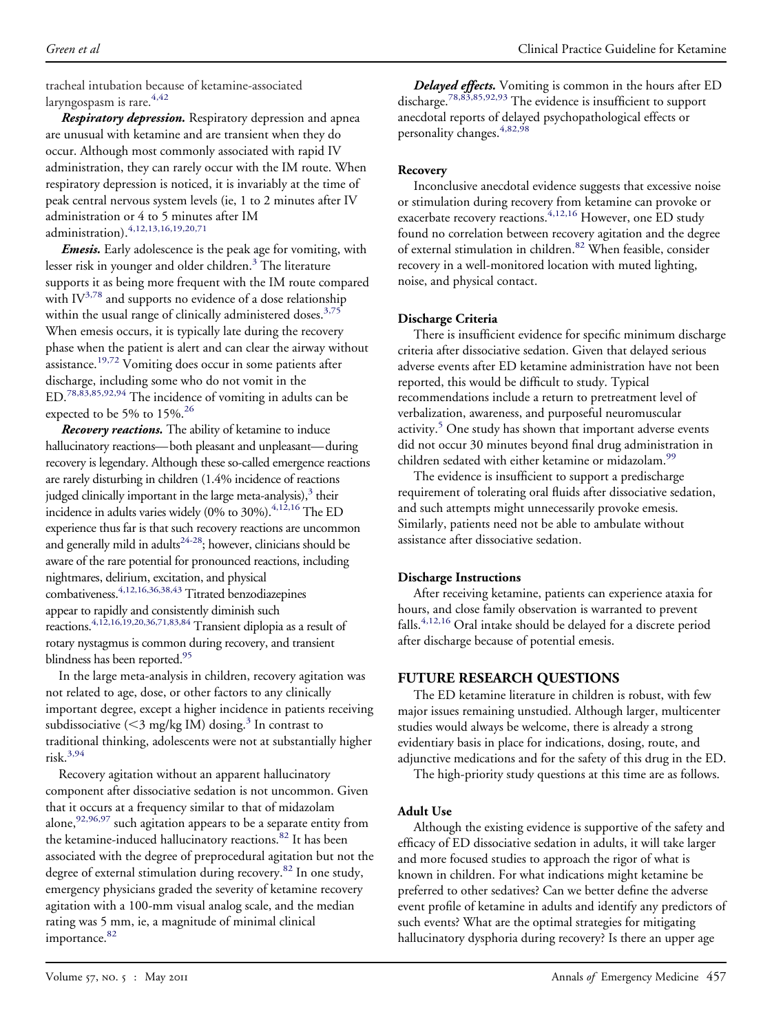tracheal intubation because of ketamine-associated laryngospasm is rare.<sup>[4,42](#page-10-0)</sup>

*Respiratory depression.* Respiratory depression and apnea are unusual with ketamine and are transient when they do occur. Although most commonly associated with rapid IV administration, they can rarely occur with the IM route. When respiratory depression is noticed, it is invariably at the time of peak central nervous system levels (ie, 1 to 2 minutes after IV administration or 4 to 5 minutes after IM administration).[4,12,13,16,19,20,71](#page-10-0)

*Emesis.* Early adolescence is the peak age for vomiting, with lesser risk in younger and older children.<sup>[3](#page-10-20)</sup> The literature supports it as being more frequent with the IM route compared with  $IV^{3,78}$  and supports no evidence of a dose relationship within the usual range of clinically administered doses.<sup>[3,75](#page-10-20)</sup> When emesis occurs, it is typically late during the recovery phase when the patient is alert and can clear the airway without assistance.[19,72](#page-10-23) Vomiting does occur in some patients after discharge, including some who do not vomit in the ED.<sup>[78,83,85,92,94](#page-11-15)</sup> The incidence of vomiting in adults can be expected to be 5% to 15%.[26](#page-10-22)

*Recovery reactions.* The ability of ketamine to induce hallucinatory reactions—both pleasant and unpleasant—during recovery is legendary. Although these so-called emergence reactions are rarely disturbing in children (1.4% incidence of reactions judged clinically important in the large meta-analysis), $3$  their incidence in adults varies widely (0% to 30%).  $4,12,16$  The ED experience thus far is that such recovery reactions are uncommon and generally mild in adults<sup>24-28</sup>; however, clinicians should be aware of the rare potential for pronounced reactions, including nightmares, delirium, excitation, and physical combativeness[.4,12,16,36,38,43](#page-10-0) Titrated benzodiazepines appear to rapidly and consistently diminish such reactions[.4,12,16,19,20,36,71,83,84](#page-10-0) Transient diplopia as a result of rotary nystagmus is common during recovery, and transient blindness has been reported.<sup>95</sup>

In the large meta-analysis in children, recovery agitation was not related to age, dose, or other factors to any clinically important degree, except a higher incidence in patients receiving subdissociative ( $\leq$ [3](#page-10-20) mg/kg IM) dosing.<sup>3</sup> In contrast to traditional thinking, adolescents were not at substantially higher  $risk<sup>3,94</sup>$ 

Recovery agitation without an apparent hallucinatory component after dissociative sedation is not uncommon. Given that it occurs at a frequency similar to that of midazolam alone,  $92,96,97$  such agitation appears to be a separate entity from the ketamine-induced hallucinatory reactions.<sup>[82](#page-11-13)</sup> It has been associated with the degree of preprocedural agitation but not the degree of external stimulation during recovery.<sup>82</sup> In one study, emergency physicians graded the severity of ketamine recovery agitation with a 100-mm visual analog scale, and the median rating was 5 mm, ie, a magnitude of minimal clinical importance.<sup>82</sup>

*Delayed effects.* Vomiting is common in the hours after ED discharge.[78,83,85,92,93](#page-11-15) The evidence is insufficient to support anecdotal reports of delayed psychopathological effects or personality changes.  $4,82,98$ 

## **Recovery**

Inconclusive anecdotal evidence suggests that excessive noise or stimulation during recovery from ketamine can provoke or exacerbate recovery reactions.[4,12,16](#page-10-0) However, one ED study found no correlation between recovery agitation and the degree of external stimulation in children.<sup>[82](#page-11-13)</sup> When feasible, consider recovery in a well-monitored location with muted lighting, noise, and physical contact.

# **Discharge Criteria**

There is insufficient evidence for specific minimum discharge criteria after dissociative sedation. Given that delayed serious adverse events after ED ketamine administration have not been reported, this would be difficult to study. Typical recommendations include a return to pretreatment level of verbalization, awareness, and purposeful neuromuscular activity.<sup>5</sup> One study has shown that important adverse events did not occur 30 minutes beyond final drug administration in children sedated with either ketamine or midazolam.<sup>[99](#page-12-4)</sup>

The evidence is insufficient to support a predischarge requirement of tolerating oral fluids after dissociative sedation, and such attempts might unnecessarily provoke emesis. Similarly, patients need not be able to ambulate without assistance after dissociative sedation.

# **Discharge Instructions**

After receiving ketamine, patients can experience ataxia for hours, and close family observation is warranted to prevent falls.<sup>[4,12,16](#page-10-0)</sup> Oral intake should be delayed for a discrete period after discharge because of potential emesis.

# **FUTURE RESEARCH QUESTIONS**

The ED ketamine literature in children is robust, with few major issues remaining unstudied. Although larger, multicenter studies would always be welcome, there is already a strong evidentiary basis in place for indications, dosing, route, and adjunctive medications and for the safety of this drug in the ED.

The high-priority study questions at this time are as follows.

# **Adult Use**

Although the existing evidence is supportive of the safety and efficacy of ED dissociative sedation in adults, it will take larger and more focused studies to approach the rigor of what is known in children. For what indications might ketamine be preferred to other sedatives? Can we better define the adverse event profile of ketamine in adults and identify any predictors of such events? What are the optimal strategies for mitigating hallucinatory dysphoria during recovery? Is there an upper age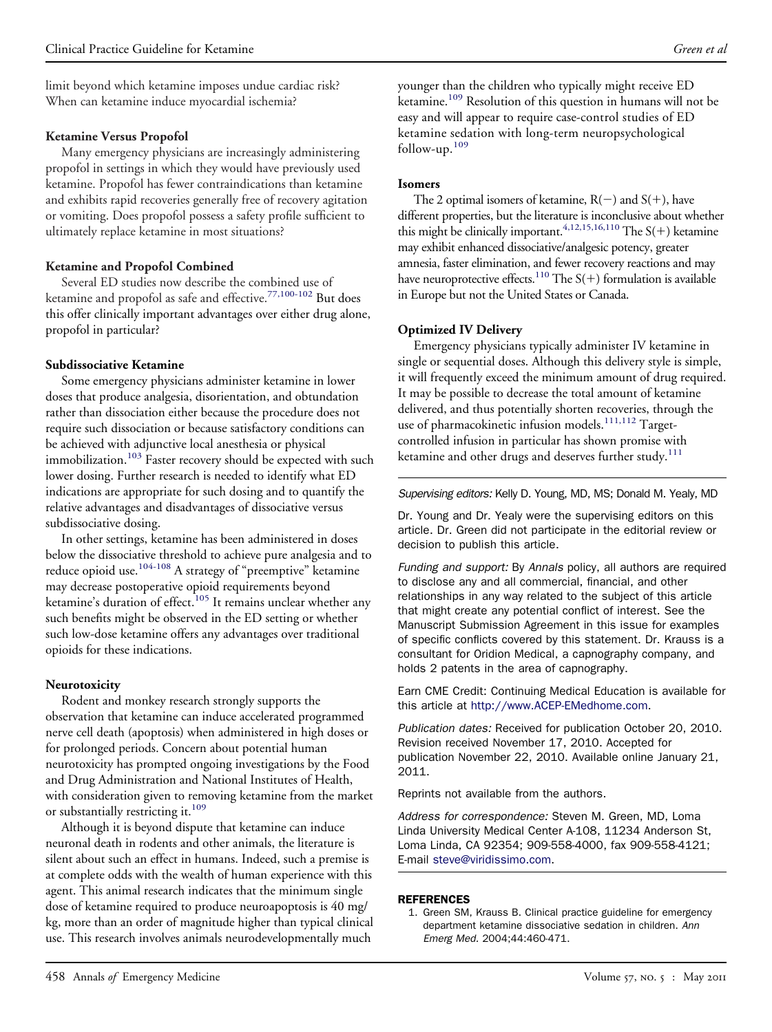limit beyond which ketamine imposes undue cardiac risk? When can ketamine induce myocardial ischemia?

## **Ketamine Versus Propofol**

Many emergency physicians are increasingly administering propofol in settings in which they would have previously used ketamine. Propofol has fewer contraindications than ketamine and exhibits rapid recoveries generally free of recovery agitation or vomiting. Does propofol possess a safety profile sufficient to ultimately replace ketamine in most situations?

# **Ketamine and Propofol Combined**

Several ED studies now describe the combined use of ketamine and propofol as safe and effective.[77,100-102](#page-11-11) But does this offer clinically important advantages over either drug alone, propofol in particular?

## **Subdissociative Ketamine**

Some emergency physicians administer ketamine in lower doses that produce analgesia, disorientation, and obtundation rather than dissociation either because the procedure does not require such dissociation or because satisfactory conditions can be achieved with adjunctive local anesthesia or physical immobilization.<sup>[103](#page-12-5)</sup> Faster recovery should be expected with such lower dosing. Further research is needed to identify what ED indications are appropriate for such dosing and to quantify the relative advantages and disadvantages of dissociative versus subdissociative dosing.

In other settings, ketamine has been administered in doses below the dissociative threshold to achieve pure analgesia and to reduce opioid use.<sup>[104-108](#page-12-6)</sup> A strategy of "preemptive" ketamine may decrease postoperative opioid requirements beyond ketamine's duration of effect.<sup>[105](#page-12-7)</sup> It remains unclear whether any such benefits might be observed in the ED setting or whether such low-dose ketamine offers any advantages over traditional opioids for these indications.

# **Neurotoxicity**

Rodent and monkey research strongly supports the observation that ketamine can induce accelerated programmed nerve cell death (apoptosis) when administered in high doses or for prolonged periods. Concern about potential human neurotoxicity has prompted ongoing investigations by the Food and Drug Administration and National Institutes of Health, with consideration given to removing ketamine from the market or substantially restricting it.<sup>109</sup>

Although it is beyond dispute that ketamine can induce neuronal death in rodents and other animals, the literature is silent about such an effect in humans. Indeed, such a premise is at complete odds with the wealth of human experience with this agent. This animal research indicates that the minimum single dose of ketamine required to produce neuroapoptosis is 40 mg/ kg, more than an order of magnitude higher than typical clinical use. This research involves animals neurodevelopmentally much

younger than the children who typically might receive ED ketamine.<sup>[109](#page-12-8)</sup> Resolution of this question in humans will not be easy and will appear to require case-control studies of ED ketamine sedation with long-term neuropsychological follow-up. $109$ 

## **Isomers**

The 2 optimal isomers of ketamine,  $R(-)$  and  $S(+)$ , have different properties, but the literature is inconclusive about whether this might be clinically important.<sup>4,12,15,16,110</sup> The  $S(+)$  ketamine may exhibit enhanced dissociative/analgesic potency, greater amnesia, faster elimination, and fewer recovery reactions and may have neuroprotective effects.<sup>110</sup> The S(+) formulation is available in Europe but not the United States or Canada.

# **Optimized IV Delivery**

Emergency physicians typically administer IV ketamine in single or sequential doses. Although this delivery style is simple, it will frequently exceed the minimum amount of drug required. It may be possible to decrease the total amount of ketamine delivered, and thus potentially shorten recoveries, through the use of pharmacokinetic infusion models.<sup>[111,112](#page-12-10)</sup> Targetcontrolled infusion in particular has shown promise with ketamine and other drugs and deserves further study.<sup>[111](#page-12-10)</sup>

*Supervising editors:* Kelly D. Young, MD, MS; Donald M. Yealy, MD

Dr. Young and Dr. Yealy were the supervising editors on this article. Dr. Green did not participate in the editorial review or decision to publish this article.

*Funding and support:* By *Annals* policy, all authors are required to disclose any and all commercial, financial, and other relationships in any way related to the subject of this article that might create any potential conflict of interest. See the Manuscript Submission Agreement in this issue for examples of specific conflicts covered by this statement. Dr. Krauss is a consultant for Oridion Medical, a capnography company, and holds 2 patents in the area of capnography.

Earn CME Credit: Continuing Medical Education is available for this article at [http://www.ACEP-EMedhome.com.](http://www.ACEP-EMedhome.com)

*Publication dates:* Received for publication October 20, 2010. Revision received November 17, 2010. Accepted for publication November 22, 2010. Available online January 21, 2011.

Reprints not available from the authors.

*Address for correspondence:* Steven M. Green, MD, Loma Linda University Medical Center A-108, 11234 Anderson St, Loma Linda, CA 92354; 909-558-4000, fax 909-558-4121; E-mail [steve@viridissimo.com.](mailto:steve@viridissimo.com)

## <span id="page-9-0"></span>**REFERENCES**

1. Green SM, Krauss B. Clinical practice guideline for emergency department ketamine dissociative sedation in children. *Ann Emerg Med.* 2004;44:460-471.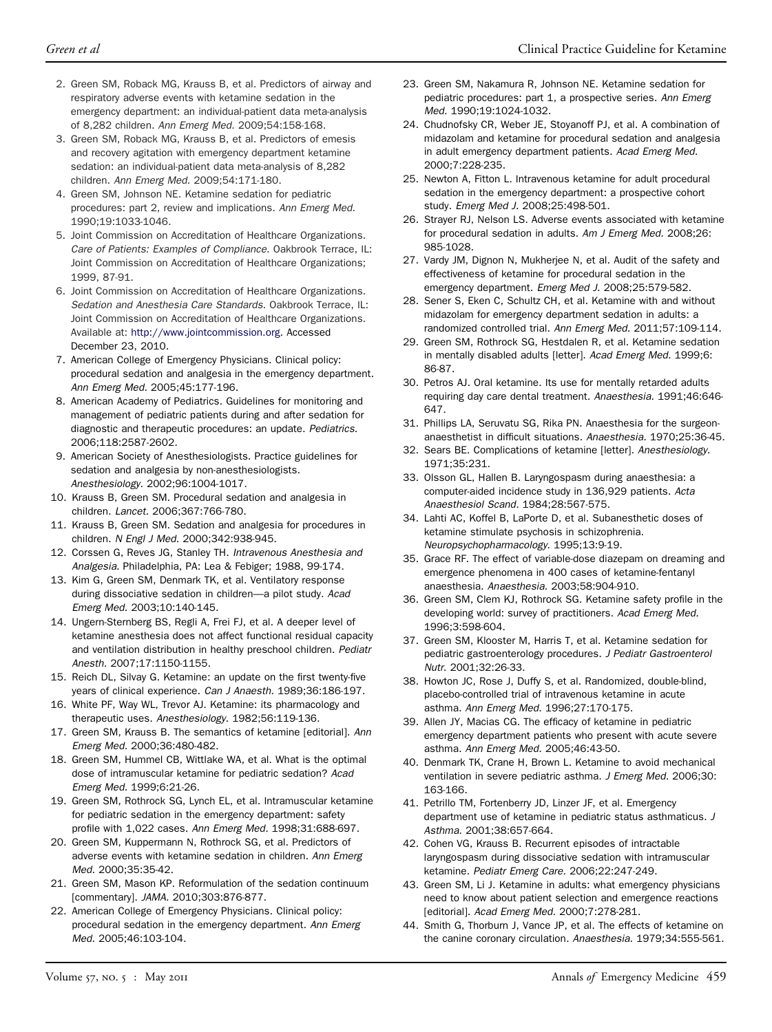- <span id="page-10-7"></span>2. Green SM, Roback MG, Krauss B, et al. Predictors of airway and respiratory adverse events with ketamine sedation in the emergency department: an individual-patient data meta-analysis of 8,282 children. *Ann Emerg Med.* 2009;54:158-168.
- <span id="page-10-20"></span>3. Green SM, Roback MG, Krauss B, et al. Predictors of emesis and recovery agitation with emergency department ketamine sedation: an individual-patient data meta-analysis of 8,282 children. *Ann Emerg Med.* 2009;54:171-180.
- <span id="page-10-0"></span>4. Green SM, Johnson NE. Ketamine sedation for pediatric procedures: part 2, review and implications. *Ann Emerg Med.* 1990;19:1033-1046.
- <span id="page-10-1"></span>5. Joint Commission on Accreditation of Healthcare Organizations. *Care of Patients: Examples of Compliance*. Oakbrook Terrace, IL: Joint Commission on Accreditation of Healthcare Organizations; 1999, 87-91.
- <span id="page-10-2"></span>6. Joint Commission on Accreditation of Healthcare Organizations. *Sedation and Anesthesia Care Standards*. Oakbrook Terrace, IL: Joint Commission on Accreditation of Healthcare Organizations. Available at: [http://www.jointcommission.org.](http://www.jointcommission.org) Accessed December 23, 2010.
- <span id="page-10-3"></span>7. American College of Emergency Physicians. Clinical policy: procedural sedation and analgesia in the emergency department. *Ann Emerg Med.* 2005;45:177-196.
- <span id="page-10-4"></span>8. American Academy of Pediatrics. Guidelines for monitoring and management of pediatric patients during and after sedation for diagnostic and therapeutic procedures: an update. *Pediatrics.* 2006;118:2587-2602.
- <span id="page-10-10"></span>9. American Society of Anesthesiologists. Practice guidelines for sedation and analgesia by non-anesthesiologists. *Anesthesiology.* 2002;96:1004-1017.
- <span id="page-10-13"></span><span id="page-10-5"></span>10. Krauss B, Green SM. Procedural sedation and analgesia in children. *Lancet.* 2006;367:766-780.
- <span id="page-10-6"></span>11. Krauss B, Green SM. Sedation and analgesia for procedures in children. *N Engl J Med.* 2000;342:938-945.
- 12. Corssen G, Reves JG, Stanley TH. *Intravenous Anesthesia and Analgesia*. Philadelphia, PA: Lea & Febiger; 1988, 99-174.
- 13. Kim G, Green SM, Denmark TK, et al. Ventilatory response during dissociative sedation in children—a pilot study. *Acad Emerg Med.* 2003;10:140-145.
- 14. Ungern-Sternberg BS, Regli A, Frei FJ, et al. A deeper level of ketamine anesthesia does not affect functional residual capacity and ventilation distribution in healthy preschool children. *Pediatr Anesth.* 2007;17:1150-1155.
- 15. Reich DL, Silvay G. Ketamine: an update on the first twenty-five years of clinical experience. *Can J Anaesth.* 1989;36:186-197.
- <span id="page-10-8"></span>16. White PF, Way WL, Trevor AJ. Ketamine: its pharmacology and therapeutic uses. *Anesthesiology*. 1982;56:119-136.
- <span id="page-10-19"></span>17. Green SM, Krauss B. The semantics of ketamine [editorial]. *Ann Emerg Med.* 2000;36:480-482.
- 18. Green SM, Hummel CB, Wittlake WA, et al. What is the optimal dose of intramuscular ketamine for pediatric sedation? *Acad Emerg Med.* 1999;6:21-26.
- <span id="page-10-23"></span>19. Green SM, Rothrock SG, Lynch EL, et al. Intramuscular ketamine for pediatric sedation in the emergency department: safety profile with 1,022 cases. *Ann Emerg Med.* 1998;31:688-697.
- 20. Green SM, Kuppermann N, Rothrock SG, et al. Predictors of adverse events with ketamine sedation in children. *Ann Emerg Med.* 2000;35:35-42.
- <span id="page-10-9"></span>21. Green SM, Mason KP. Reformulation of the sedation continuum [commentary]. *JAMA.* 2010;303:876-877.
- 22. American College of Emergency Physicians. Clinical policy: procedural sedation in the emergency department. *Ann Emerg Med.* 2005;46:103-104.
- 23. Green SM, Nakamura R, Johnson NE. Ketamine sedation for pediatric procedures: part 1, a prospective series. *Ann Emerg Med.* 1990;19:1024-1032.
- <span id="page-10-11"></span>24. Chudnofsky CR, Weber JE, Stoyanoff PJ, et al. A combination of midazolam and ketamine for procedural sedation and analgesia in adult emergency department patients. *Acad Emerg Med.* 2000;7:228-235.
- 25. Newton A, Fitton L. Intravenous ketamine for adult procedural sedation in the emergency department: a prospective cohort study. *Emerg Med J.* 2008;25:498-501.
- <span id="page-10-22"></span>26. Strayer RJ, Nelson LS. Adverse events associated with ketamine for procedural sedation in adults. *Am J Emerg Med.* 2008;26: 985-1028.
- 27. Vardy JM, Dignon N, Mukherjee N, et al. Audit of the safety and effectiveness of ketamine for procedural sedation in the emergency department. *Emerg Med J.* 2008;25:579-582.
- <span id="page-10-25"></span>28. Sener S, Eken C, Schultz CH, et al. Ketamine with and without midazolam for emergency department sedation in adults: a randomized controlled trial. *Ann Emerg Med.* 2011;57:109-114.
- <span id="page-10-12"></span>29. Green SM, Rothrock SG, Hestdalen R, et al. Ketamine sedation in mentally disabled adults [letter]. *Acad Emerg Med.* 1999;6: 86-87.
- 30. Petros AJ. Oral ketamine. Its use for mentally retarded adults requiring day care dental treatment. *Anaesthesia.* 1991;46:646- 647.
- 31. Phillips LA, Seruvatu SG, Rika PN. Anaesthesia for the surgeonanaesthetist in difficult situations. *Anaesthesia.* 1970;25:36-45.
- <span id="page-10-16"></span>32. Sears BE. Complications of ketamine [letter]. *Anesthesiology*. 1971;35:231.
- 33. Olsson GL, Hallen B. Laryngospasm during anaesthesia: a computer-aided incidence study in 136,929 patients. *Acta Anaesthesiol Scand.* 1984;28:567-575.
- <span id="page-10-14"></span>34. Lahti AC, Koffel B, LaPorte D, et al. Subanesthetic doses of ketamine stimulate psychosis in schizophrenia. *Neuropsychopharmacology*. 1995;13:9-19.
- <span id="page-10-24"></span>35. Grace RF. The effect of variable-dose diazepam on dreaming and emergence phenomena in 400 cases of ketamine-fentanyl anaesthesia. *Anaesthesia.* 2003;58:904-910.
- <span id="page-10-21"></span>36. Green SM, Clem KJ, Rothrock SG. Ketamine safety profile in the developing world: survey of practitioners. *Acad Emerg Med.* 1996;3:598-604.
- <span id="page-10-15"></span>37. Green SM, Klooster M, Harris T, et al. Ketamine sedation for pediatric gastroenterology procedures. *J Pediatr Gastroenterol Nutr*. 2001;32:26-33.
- <span id="page-10-17"></span>38. Howton JC, Rose J, Duffy S, et al. Randomized, double-blind, placebo-controlled trial of intravenous ketamine in acute asthma. *Ann Emerg Med.* 1996;27:170-175.
- 39. Allen JY, Macias CG. The efficacy of ketamine in pediatric emergency department patients who present with acute severe asthma. *Ann Emerg Med.* 2005;46:43-50.
- 40. Denmark TK, Crane H, Brown L. Ketamine to avoid mechanical ventilation in severe pediatric asthma. *J Emerg Med.* 2006;30: 163-166.
- 41. Petrillo TM, Fortenberry JD, Linzer JF, et al. Emergency department use of ketamine in pediatric status asthmaticus. *J Asthma*. 2001;38:657-664.
- <span id="page-10-18"></span>42. Cohen VG, Krauss B. Recurrent episodes of intractable laryngospasm during dissociative sedation with intramuscular ketamine. *Pediatr Emerg Care.* 2006;22:247-249.
- 43. Green SM, Li J. Ketamine in adults: what emergency physicians need to know about patient selection and emergence reactions [editorial]. *Acad Emerg Med.* 2000;7:278-281.
- 44. Smith G, Thorburn J, Vance JP, et al. The effects of ketamine on the canine coronary circulation. *Anaesthesia.* 1979;34:555-561.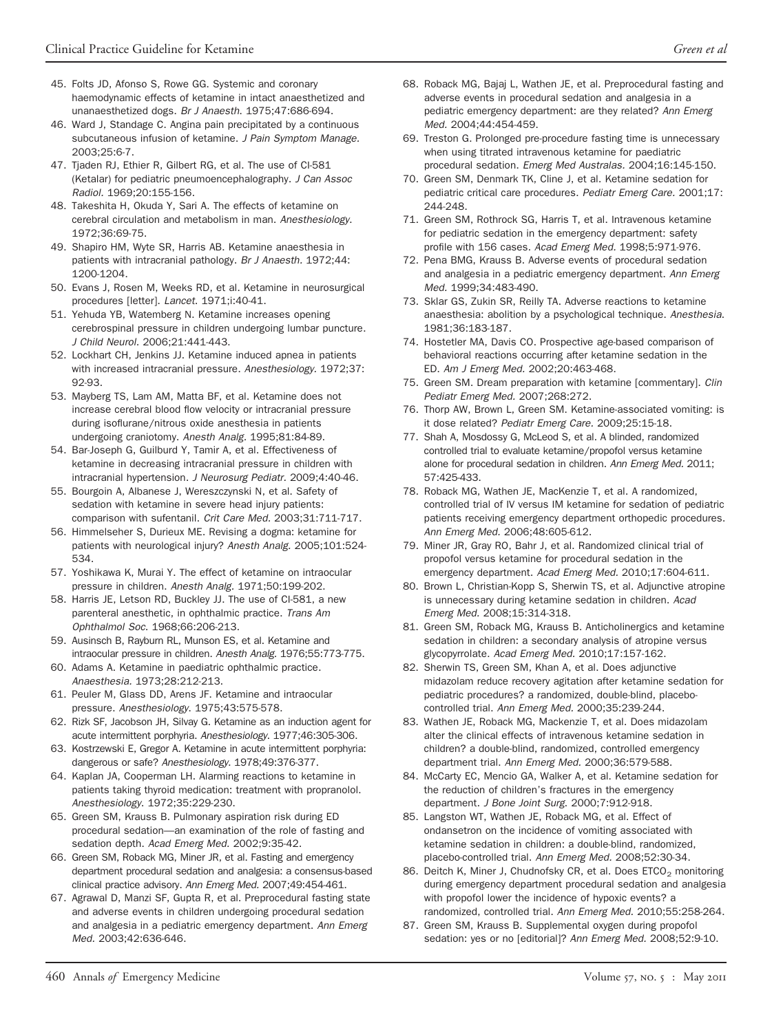- 45. Folts JD, Afonso S, Rowe GG. Systemic and coronary haemodynamic effects of ketamine in intact anaesthetized and unanaesthetized dogs. *Br J Anaesth*. 1975;47:686-694.
- <span id="page-11-0"></span>46. Ward J, Standage C. Angina pain precipitated by a continuous subcutaneous infusion of ketamine. *J Pain Symptom Manage.* 2003;25:6-7.
- 47. Tjaden RJ, Ethier R, Gilbert RG, et al. The use of CI-581 (Ketalar) for pediatric pneumoencephalography. *J Can Assoc Radiol.* 1969;20:155-156.
- 48. Takeshita H, Okuda Y, Sari A. The effects of ketamine on cerebral circulation and metabolism in man. *Anesthesiology*. 1972;36:69-75.
- 49. Shapiro HM, Wyte SR, Harris AB. Ketamine anaesthesia in patients with intracranial pathology. *Br J Anaesth.* 1972;44: 1200-1204.
- 50. Evans J, Rosen M, Weeks RD, et al. Ketamine in neurosurgical procedures [letter]. *Lancet*. 1971;i:40-41.
- <span id="page-11-1"></span>51. Yehuda YB, Watemberg N. Ketamine increases opening cerebrospinal pressure in children undergoing lumbar puncture. *J Child Neurol.* 2006;21:441-443.
- 52. Lockhart CH, Jenkins JJ. Ketamine induced apnea in patients with increased intracranial pressure. *Anesthesiology.* 1972;37: 92-93.
- 53. Mayberg TS, Lam AM, Matta BF, et al. Ketamine does not increase cerebral blood flow velocity or intracranial pressure during isoflurane/nitrous oxide anesthesia in patients undergoing craniotomy. *Anesth Analg.* 1995;81:84-89.
- <span id="page-11-2"></span>54. Bar-Joseph G, Guilburd Y, Tamir A, et al. Effectiveness of ketamine in decreasing intracranial pressure in children with intracranial hypertension. *J Neurosurg Pediatr.* 2009;4:40-46.
- 55. Bourgoin A, Albanese J, Wereszczynski N, et al. Safety of sedation with ketamine in severe head injury patients: comparison with sufentanil. *Crit Care Med.* 2003;31:711-717.
- 56. Himmelseher S, Durieux ME. Revising a dogma: ketamine for patients with neurological injury? *Anesth Analg.* 2005;101:524- 534.
- <span id="page-11-3"></span>57. Yoshikawa K, Murai Y. The effect of ketamine on intraocular pressure in children. *Anesth Analg.* 1971;50:199-202.
- 58. Harris JE, Letson RD, Buckley JJ. The use of CI-581, a new parenteral anesthetic, in ophthalmic practice. *Trans Am Ophthalmol Soc*. 1968;66:206-213.
- 59. Ausinsch B, Rayburn RL, Munson ES, et al. Ketamine and intraocular pressure in children. *Anesth Analg.* 1976;55:773-775.
- 60. Adams A. Ketamine in paediatric ophthalmic practice. *Anaesthesia.* 1973;28:212-213.
- <span id="page-11-4"></span>61. Peuler M, Glass DD, Arens JF. Ketamine and intraocular pressure. *Anesthesiology*. 1975;43:575-578.
- 62. Rizk SF, Jacobson JH, Silvay G. Ketamine as an induction agent for acute intermittent porphyria. *Anesthesiology*. 1977;46:305-306.
- <span id="page-11-5"></span>63. Kostrzewski E, Gregor A. Ketamine in acute intermittent porphyria: dangerous or safe? *Anesthesiology*. 1978;49:376-377.
- 64. Kaplan JA, Cooperman LH. Alarming reactions to ketamine in patients taking thyroid medication: treatment with propranolol. *Anesthesiology*. 1972;35:229-230.
- <span id="page-11-8"></span>65. Green SM, Krauss B. Pulmonary aspiration risk during ED procedural sedation—an examination of the role of fasting and sedation depth. *Acad Emerg Med.* 2002;9:35-42.
- <span id="page-11-7"></span>66. Green SM, Roback MG, Miner JR, et al. Fasting and emergency department procedural sedation and analgesia: a consensus-based clinical practice advisory. *Ann Emerg Med.* 2007;49:454-461.
- <span id="page-11-6"></span>67. Agrawal D, Manzi SF, Gupta R, et al. Preprocedural fasting state and adverse events in children undergoing procedural sedation and analgesia in a pediatric emergency department. *Ann Emerg Med.* 2003;42:636-646.
- 68. Roback MG, Bajaj L, Wathen JE, et al. Preprocedural fasting and adverse events in procedural sedation and analgesia in a pediatric emergency department: are they related? *Ann Emerg Med.* 2004;44:454-459.
- 69. Treston G. Prolonged pre-procedure fasting time is unnecessary when using titrated intravenous ketamine for paediatric procedural sedation. *Emerg Med Australas.* 2004;16:145-150.
- <span id="page-11-12"></span>70. Green SM, Denmark TK, Cline J, et al. Ketamine sedation for pediatric critical care procedures. *Pediatr Emerg Care.* 2001;17: 244-248.
- 71. Green SM, Rothrock SG, Harris T, et al. Intravenous ketamine for pediatric sedation in the emergency department: safety profile with 156 cases. *Acad Emerg Med.* 1998;5:971-976.
- 72. Pena BMG, Krauss B. Adverse events of procedural sedation and analgesia in a pediatric emergency department. *Ann Emerg Med.* 1999;34:483-490.
- <span id="page-11-9"></span>73. Sklar GS, Zukin SR, Reilly TA. Adverse reactions to ketamine anaesthesia: abolition by a psychological technique. *Anesthesia*. 1981;36:183-187.
- <span id="page-11-10"></span>74. Hostetler MA, Davis CO. Prospective age-based comparison of behavioral reactions occurring after ketamine sedation in the ED. *Am J Emerg Med.* 2002;20:463-468.
- 75. Green SM. Dream preparation with ketamine [commentary]. *Clin Pediatr Emerg Med.* 2007;268:272.
- <span id="page-11-11"></span>76. Thorp AW, Brown L, Green SM. Ketamine-associated vomiting: is it dose related? *Pediatr Emerg Care.* 2009;25:15-18.
- 77. Shah A, Mosdossy G, McLeod S, et al. A blinded, randomized controlled trial to evaluate ketamine/propofol versus ketamine alone for procedural sedation in children. *Ann Emerg Med.* 2011; 57:425-433.
- <span id="page-11-15"></span>78. Roback MG, Wathen JE, MacKenzie T, et al. A randomized, controlled trial of IV versus IM ketamine for sedation of pediatric patients receiving emergency department orthopedic procedures. *Ann Emerg Med.* 2006;48:605-612.
- 79. Miner JR, Gray RO, Bahr J, et al. Randomized clinical trial of propofol versus ketamine for procedural sedation in the emergency department. *Acad Emerg Med.* 2010;17:604-611.
- 80. Brown L, Christian-Kopp S, Sherwin TS, et al. Adjunctive atropine is unnecessary during ketamine sedation in children. *Acad Emerg Med.* 2008;15:314-318.
- 81. Green SM, Roback MG, Krauss B. Anticholinergics and ketamine sedation in children: a secondary analysis of atropine versus glycopyrrolate. *Acad Emerg Med.* 2010;17:157-162.
- <span id="page-11-13"></span>82. Sherwin TS, Green SM, Khan A, et al. Does adjunctive midazolam reduce recovery agitation after ketamine sedation for pediatric procedures? a randomized, double-blind, placebocontrolled trial. *Ann Emerg Med.* 2000;35:239-244.
- 83. Wathen JE, Roback MG, Mackenzie T, et al. Does midazolam alter the clinical effects of intravenous ketamine sedation in children? a double-blind, randomized, controlled emergency department trial. *Ann Emerg Med.* 2000;36:579-588.
- 84. McCarty EC, Mencio GA, Walker A, et al. Ketamine sedation for the reduction of children's fractures in the emergency department. *J Bone Joint Surg*. 2000;7:912-918.
- <span id="page-11-14"></span>85. Langston WT, Wathen JE, Roback MG, et al. Effect of ondansetron on the incidence of vomiting associated with ketamine sedation in children: a double-blind, randomized, placebo-controlled trial. *Ann Emerg Med.* 2008;52:30-34.
- 86. Deitch K, Miner J, Chudnofsky CR, et al. Does ETCO<sub>2</sub> monitoring during emergency department procedural sedation and analgesia with propofol lower the incidence of hypoxic events? a randomized, controlled trial. *Ann Emerg Med.* 2010;55:258-264.
- 87. Green SM, Krauss B. Supplemental oxygen during propofol sedation: yes or no [editorial]? *Ann Emerg Med.* 2008;52:9-10.